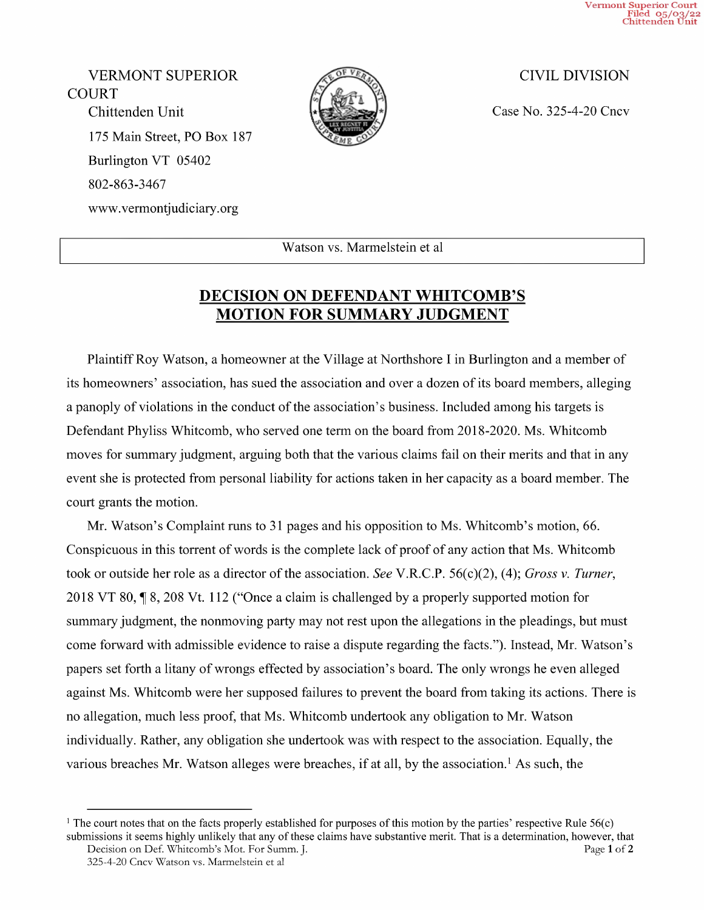Vermont Superior Court Filed 05/03/22 Chittenden Unit

VERMONT SUPERIOR CIVIL DIVISION COURT Chittenden Unit  $\downarrow \downarrow \downarrow \downarrow$  Case No. 325-4-20 Cncv 175 Main Street, PO Box 187 Burlington VT <sup>05402</sup> 802-863-3467 WWW.Vermontjudiciary.org



Watson vs. Marmelstein et al

## DECISION ON DEFENDANT WHITCOMB'S MOTION FOR SUMMARY JUDGMENT

Plaintiff Roy Watson, a homeowner at the Village at Northshore I in Burlington and a member of its homeowners' association, has sued the association and over a dozen of its board members, alleging a panoply of violations in the conduct of the association's business. Included among his targets is Defendant Phyliss Whitcomb, who served one term on the board from 2018-2020. Ms. Whitcomb moves for summary judgment, arguing both that the various claims fail on their merits and that in any event she is protected from personal liability for actions taken in her capacity as a board member. The court grants the motion.

Mr. Watson's Complaint runs to <sup>31</sup> pages and his opposition to Ms. Whitcomb's motion, 66. Conspicuous in this torrent of words is the complete lack of proof of any action that Ms. Whitcomb took or outside her role as a director of the association. See V.R.C.P. 56(c)(2), (4); Gross v. Turner, 2018 VT 80, 1 8, 208 Vt. 112 ("Once a claim is challenged by a properly supported motion for summary judgment, the nonmoving party may not rest upon the allegations in the pleadings, but must come forward with admissible evidence to raise a dispute regarding the facts."). Instead, Mr. Watson's papers set forth a litany of wrongs effected by association's board. The only wrongs he even alleged against Ms. Whitcomb were her supposed failures to prevent the board from taking its actions. There is no allegation, much less proof, that Ms. Whitcomb undertook any obligation to Mr. Watson individually. Rather, any obligation she undertook was with respect to the association. Equally, the various breaches Mr. Watson alleges were breaches, if at all, by the association.<sup>1</sup> As such, the

<sup>&</sup>lt;sup>1</sup> The court notes that on the facts properly established for purposes of this motion by the parties' respective Rule  $56(c)$ submissions it seems highly unlikely that any of these claims have substantive merit. That is a determination, however, that Decision on Def. Whitcomb's Mot. For Summ. J. Page 1 of 2

<sup>325—4—20</sup> Cncv Watson vs. Marmelstein et al